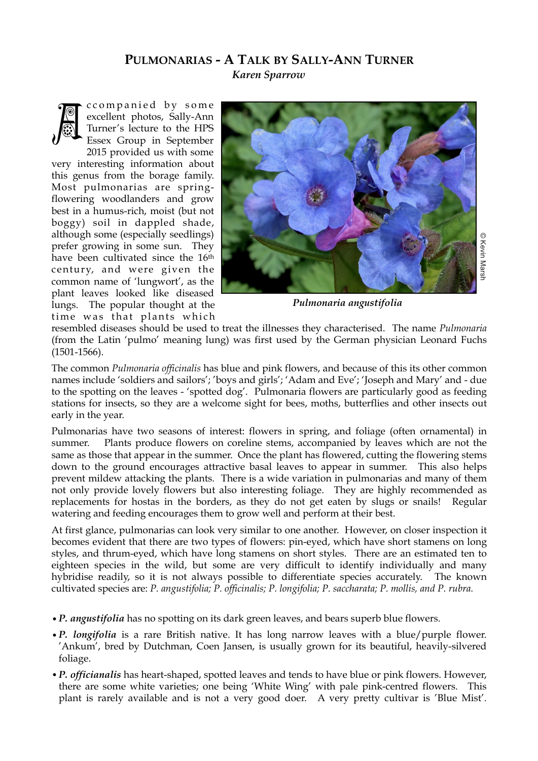## **PULMONARIAS - A TALK BY SALLY-ANN TURNER** *Karen Sparrow*



ccompanied by some excellent photos, Sally-Ann Turner's lecture to the HPS Essex Group in September 2015 provided us with some

very interesting information about this genus from the borage family. Most pulmonarias are springflowering woodlanders and grow best in a humus-rich, moist (but not boggy) soil in dappled shade, although some (especially seedlings) prefer growing in some sun. They have been cultivated since the 16<sup>th</sup> century, and were given the common name of 'lungwort', as the plant leaves looked like diseased lungs. The popular thought at the time was that plants which



*Pulmonaria angustifolia*

resembled diseases should be used to treat the illnesses they characterised. The name *Pulmonaria* (from the Latin 'pulmo' meaning lung) was first used by the German physician Leonard Fuchs (1501-1566).

The common *Pulmonaria officinalis* has blue and pink flowers, and because of this its other common names include 'soldiers and sailors'; 'boys and girls'; 'Adam and Eve'; 'Joseph and Mary' and - due to the spotting on the leaves - 'spotted dog'. Pulmonaria flowers are particularly good as feeding stations for insects, so they are a welcome sight for bees, moths, butterflies and other insects out early in the year.

Pulmonarias have two seasons of interest: flowers in spring, and foliage (often ornamental) in summer. Plants produce flowers on coreline stems, accompanied by leaves which are not the same as those that appear in the summer. Once the plant has flowered, cutting the flowering stems down to the ground encourages attractive basal leaves to appear in summer. This also helps prevent mildew attacking the plants. There is a wide variation in pulmonarias and many of them not only provide lovely flowers but also interesting foliage. They are highly recommended as replacements for hostas in the borders, as they do not get eaten by slugs or snails! Regular watering and feeding encourages them to grow well and perform at their best.

At first glance, pulmonarias can look very similar to one another. However, on closer inspection it becomes evident that there are two types of flowers: pin-eyed, which have short stamens on long styles, and thrum-eyed, which have long stamens on short styles. There are an estimated ten to eighteen species in the wild, but some are very difficult to identify individually and many hybridise readily, so it is not always possible to differentiate species accurately. The known cultivated species are: *P. angustifolia; P. officinalis; P. longifolia; P. saccharata; P. mollis, and P. rubra.*

- •*P. angustifolia* has no spotting on its dark green leaves, and bears superb blue flowers.
- •*P. longifolia* is a rare British native. It has long narrow leaves with a blue/purple flower. 'Ankum', bred by Dutchman, Coen Jansen, is usually grown for its beautiful, heavily-silvered foliage.
- •*P. officianalis* has heart-shaped, spotted leaves and tends to have blue or pink flowers. However, there are some white varieties; one being 'White Wing' with pale pink-centred flowers. This plant is rarely available and is not a very good doer. A very pretty cultivar is 'Blue Mist'.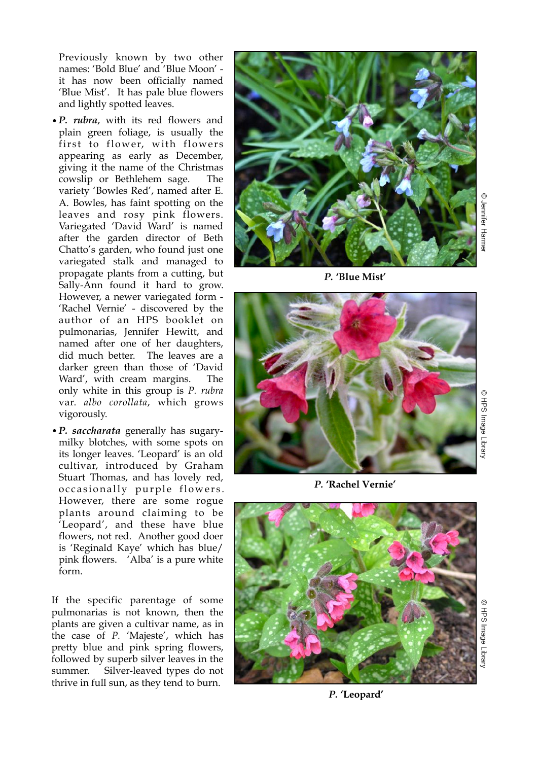Previously known by two other names: 'Bold Blue' and 'Blue Moon' it has now been officially named 'Blue Mist'. It has pale blue flowers and lightly spotted leaves.

- •*P. rubra*, with its red flowers and plain green foliage, is usually the first to flower, with flowers appearing as early as December, giving it the name of the Christmas cowslip or Bethlehem sage. The variety 'Bowles Red', named after E. A. Bowles, has faint spotting on the leaves and rosy pink flowers. Variegated 'David Ward' is named after the garden director of Beth Chatto's garden, who found just one variegated stalk and managed to propagate plants from a cutting, but Sally-Ann found it hard to grow. However, a newer variegated form - 'Rachel Vernie' - discovered by the author of an HPS booklet on pulmonarias, Jennifer Hewitt, and named after one of her daughters, did much better. The leaves are a darker green than those of 'David Ward', with cream margins. The only white in this group is *P. rubra* var. *albo corollata*, which grows vigorously.
- •*P. saccharata* generally has sugarymilky blotches, with some spots on its longer leaves. 'Leopard' is an old cultivar, introduced by Graham Stuart Thomas, and has lovely red, occasionally purple flowers. However, there are some rogue plants around claiming to be 'Leopard', and these have blue flowers, not red. Another good doer is 'Reginald Kaye' which has blue/ pink flowers. 'Alba' is a pure white form.

If the specific parentage of some pulmonarias is not known, then the plants are given a cultivar name, as in the case of *P.* 'Majeste', which has pretty blue and pink spring flowers, followed by superb silver leaves in the summer. Silver-leaved types do not thrive in full sun, as they tend to burn.



*P.* **'Blue Mist'**



*P.* **'Rachel Vernie'**



*P.* **'Leopard'**

© HPS Image Library HPS Image Library

O HPS Image Librar © HPS Image Library